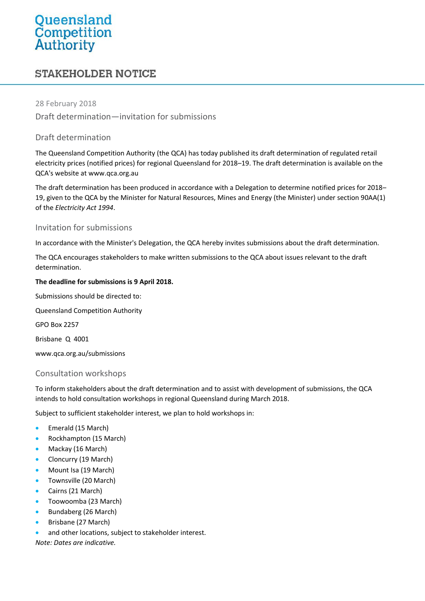# Queensland<br>Competition<br>Authority

## **STAKEHOLDER NOTICE**

#### 28 February 2018

Draft determination—invitation for submissions

#### Draft determination

The Queensland Competition Authority (the QCA) has today published its draft determination of regulated retail electricity prices (notified prices) for regional Queensland for 2018–19. The draft determination is available on the QCA's website at [www.qca.org.au](http://www.qca.org.au/)

The draft determination has been produced in accordance with a Delegation to determine notified prices for 2018– 19, given to the QCA by the Minister for Natural Resources, Mines and Energy (the Minister) under section 90AA(1) of the *Electricity Act 1994*.

#### Invitation for submissions

In accordance with the Minister's Delegation, the QCA hereby invites submissions about the draft determination.

The QCA encourages stakeholders to make written submissions to the QCA about issues relevant to the draft determination.

#### **The deadline for submissions is 9 April 2018.**

Submissions should be directed to:

Queensland Competition Authority

GPO Box 2257

Brisbane Q 4001

[www.qca.org.au/submissions](http://www.qca.org.au/submissions)

#### Consultation workshops

To inform stakeholders about the draft determination and to assist with development of submissions, the QCA intends to hold consultation workshops in regional Queensland during March 2018.

Subject to sufficient stakeholder interest, we plan to hold workshops in:

- Emerald (15 March)
- Rockhampton (15 March)
- Mackay (16 March)
- Cloncurry (19 March)
- Mount Isa (19 March)
- Townsville (20 March)
- Cairns (21 March)
- Toowoomba (23 March)
- Bundaberg (26 March)
- Brisbane (27 March)
- and other locations, subject to stakeholder interest.

*Note: Dates are indicative.*